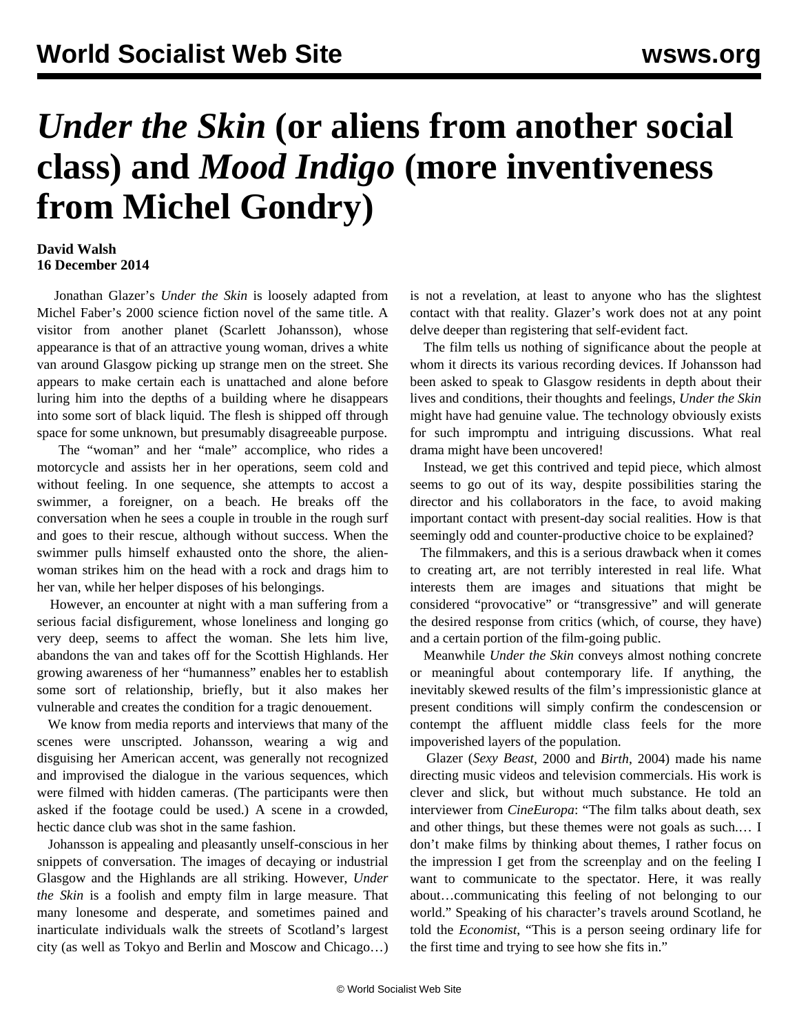## *Under the Skin* **(or aliens from another social class) and** *Mood Indigo* **(more inventiveness from Michel Gondry)**

## **David Walsh 16 December 2014**

 Jonathan Glazer's *Under the Skin* is loosely adapted from Michel Faber's 2000 science fiction novel of the same title. A visitor from another planet (Scarlett Johansson), whose appearance is that of an attractive young woman, drives a white van around Glasgow picking up strange men on the street. She appears to make certain each is unattached and alone before luring him into the depths of a building where he disappears into some sort of black liquid. The flesh is shipped off through space for some unknown, but presumably disagreeable purpose.

 The "woman" and her "male" accomplice, who rides a motorcycle and assists her in her operations, seem cold and without feeling. In one sequence, she attempts to accost a swimmer, a foreigner, on a beach. He breaks off the conversation when he sees a couple in trouble in the rough surf and goes to their rescue, although without success. When the swimmer pulls himself exhausted onto the shore, the alienwoman strikes him on the head with a rock and drags him to her van, while her helper disposes of his belongings.

 However, an encounter at night with a man suffering from a serious facial disfigurement, whose loneliness and longing go very deep, seems to affect the woman. She lets him live, abandons the van and takes off for the Scottish Highlands. Her growing awareness of her "humanness" enables her to establish some sort of relationship, briefly, but it also makes her vulnerable and creates the condition for a tragic denouement.

 We know from media reports and interviews that many of the scenes were unscripted. Johansson, wearing a wig and disguising her American accent, was generally not recognized and improvised the dialogue in the various sequences, which were filmed with hidden cameras. (The participants were then asked if the footage could be used.) A scene in a crowded, hectic dance club was shot in the same fashion.

 Johansson is appealing and pleasantly unself-conscious in her snippets of conversation. The images of decaying or industrial Glasgow and the Highlands are all striking. However, *Under the Skin* is a foolish and empty film in large measure. That many lonesome and desperate, and sometimes pained and inarticulate individuals walk the streets of Scotland's largest city (as well as Tokyo and Berlin and Moscow and Chicago…) is not a revelation, at least to anyone who has the slightest contact with that reality. Glazer's work does not at any point delve deeper than registering that self-evident fact.

 The film tells us nothing of significance about the people at whom it directs its various recording devices. If Johansson had been asked to speak to Glasgow residents in depth about their lives and conditions, their thoughts and feelings, *Under the Skin* might have had genuine value. The technology obviously exists for such impromptu and intriguing discussions. What real drama might have been uncovered!

 Instead, we get this contrived and tepid piece, which almost seems to go out of its way, despite possibilities staring the director and his collaborators in the face, to avoid making important contact with present-day social realities. How is that seemingly odd and counter-productive choice to be explained?

 The filmmakers, and this is a serious drawback when it comes to creating art, are not terribly interested in real life. What interests them are images and situations that might be considered "provocative" or "transgressive" and will generate the desired response from critics (which, of course, they have) and a certain portion of the film-going public.

 Meanwhile *Under the Skin* conveys almost nothing concrete or meaningful about contemporary life. If anything, the inevitably skewed results of the film's impressionistic glance at present conditions will simply confirm the condescension or contempt the affluent middle class feels for the more impoverished layers of the population.

 Glazer (*[Sexy Beast](/en/articles/2001/12/brit-d05.html)*, 2000 and *Birth*, 2004) made his name directing music videos and television commercials. His work is clever and slick, but without much substance. He told an interviewer from *CineEuropa*: "The film talks about death, sex and other things, but these themes were not goals as such.… I don't make films by thinking about themes, I rather focus on the impression I get from the screenplay and on the feeling I want to communicate to the spectator. Here, it was really about…communicating this feeling of not belonging to our world." Speaking of his character's travels around Scotland, he told the *Economist*, "This is a person seeing ordinary life for the first time and trying to see how she fits in."